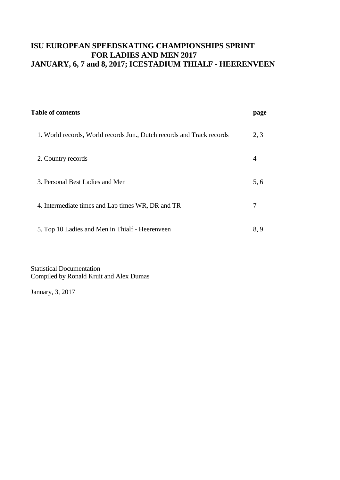| <b>Table of contents</b>                                              | page |
|-----------------------------------------------------------------------|------|
| 1. World records, World records Jun., Dutch records and Track records | 2, 3 |
| 2. Country records                                                    | 4    |
| 3. Personal Best Ladies and Men                                       | 5, 6 |
| 4. Intermediate times and Lap times WR, DR and TR                     |      |
| 5. Top 10 Ladies and Men in Thialf - Heerenveen                       | 8, 9 |

Statistical Documentation Compiled by Ronald Kruit and Alex Dumas

January, 3, 2017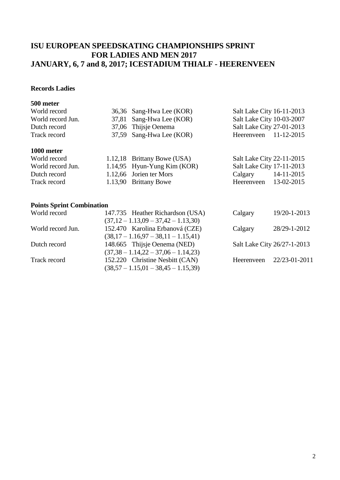### **Records Ladies**

### **500 meter**

| World record      | 36,36 Sang-Hwa Lee (KOR)      | Salt Lake City 16-11-2013       |
|-------------------|-------------------------------|---------------------------------|
| World record Jun. | 37,81 Sang-Hwa Lee (KOR)      | Salt Lake City 10-03-2007       |
| Dutch record      | 37,06 Thijsje Oenema          | Salt Lake City 27-01-2013       |
| Track record      | 37,59 Sang-Hwa Lee (KOR)      | Heerenveen $11-12-2015$         |
| 1000 meter        |                               |                                 |
| World record      | 1.12,18 Brittany Bowe (USA)   | Salt Lake City 22-11-2015       |
| World rooged Lun  | $1.14.05$ Uyun Vung Vim (VOD) | $R_0$ lt I alza City 17 11 2012 |

|                   | $1.12,10$ D.1. $0.01, 100, 000, 001$ | $D$ and $D$ and $D$ and $D$ and $D$ and $D$ |            |
|-------------------|--------------------------------------|---------------------------------------------|------------|
| World record Jun. | 1.14,95 Hyun-Yung Kim $(KOR)$        | Salt Lake City 17-11-2013                   |            |
| Dutch record      | 1.12,66 Jorien ter Mors              | Calgary                                     | 14-11-2015 |
| Track record      | 1.13,90 Brittany Bowe                | Heerenveen 13-02-2015                       |            |
|                   |                                      |                                             |            |

### **Points Sprint Combination**

| 147.735 Heather Richardson (USA)      | Calgary    | 19/20-1-2013                |
|---------------------------------------|------------|-----------------------------|
| $(37,12 - 1.13,09 - 37,42 - 1.13,30)$ |            |                             |
| 152.470 Karolina Erbanová (CZE)       | Calgary    | 28/29-1-2012                |
| $(38,17-1.16,97-38,11-1.15,41)$       |            |                             |
| 148.665 Thijsje Oenema (NED)          |            | Salt Lake City 26/27-1-2013 |
| $(37,38 - 1.14,22 - 37,06 - 1.14,23)$ |            |                             |
| 152.220 Christine Nesbitt (CAN)       | Heerenveen | 22/23-01-2011               |
| $(38,57 - 1.15,01 - 38,45 - 1.15,39)$ |            |                             |
|                                       |            |                             |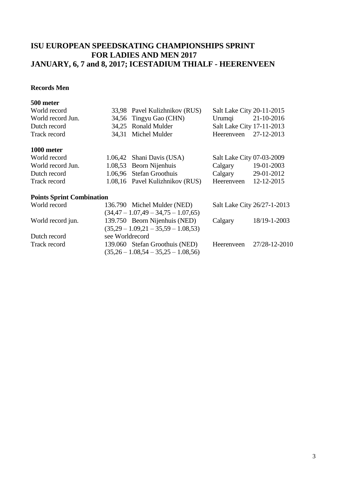### **Records Men**

#### **500 meter**

| World record                     | 33,98 Pavel Kulizhnikov (RUS)                                                      | Salt Lake City 20-11-2015   |              |
|----------------------------------|------------------------------------------------------------------------------------|-----------------------------|--------------|
| World record Jun.                | 34,56 Tingyu Gao (CHN)                                                             | Urumqi                      | 21-10-2016   |
| Dutch record                     | 34,25 Ronald Mulder                                                                | Salt Lake City 17-11-2013   |              |
| Track record                     | 34,31 Michel Mulder                                                                | Heerenveen                  | 27-12-2013   |
| 1000 meter                       |                                                                                    |                             |              |
| World record                     | 1.06,42 Shani Davis (USA)                                                          | Salt Lake City 07-03-2009   |              |
| World record Jun.                | 1.08,53 Beorn Nijenhuis                                                            | Calgary                     | 19-01-2003   |
| Dutch record                     | 1.06,96 Stefan Groothuis                                                           | Calgary                     | 29-01-2012   |
| Track record                     | 1.08,16 Pavel Kulizhnikov (RUS)                                                    | Heerenveen                  | 12-12-2015   |
| <b>Points Sprint Combination</b> |                                                                                    |                             |              |
| World record                     | 136.790 Michel Mulder (NED)                                                        | Salt Lake City 26/27-1-2013 |              |
|                                  | $(34,47 - 1.07,49 - 34,75 - 1.07,65)$                                              |                             |              |
| World record jun.                | 139.750 Beorn Nijenhuis (NED)<br>$(25.20 \quad 1.00.21 \quad 25.50 \quad 1.08.52)$ | Calgary                     | 18/19-1-2003 |

Dutch record see Worldrecord

 $(35,29 - 1.09,21 - 35,59 - 1.08,53)$ 

 $(35,26 - 1.08,54 - 35,25 - 1.08,56)$ 

Track record 139.060 Stefan Groothuis (NED) Heerenveen 27/28-12-2010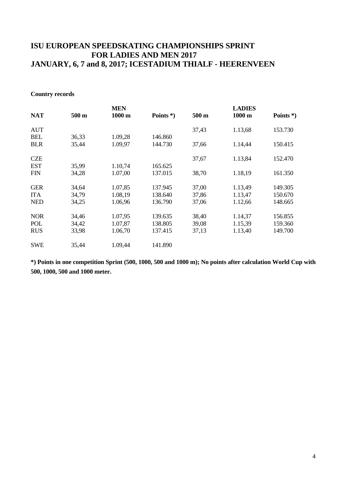#### **Country records**

|            |       | <b>MEN</b>       |              |       | <b>LADIES</b>    |              |
|------------|-------|------------------|--------------|-------|------------------|--------------|
| <b>NAT</b> | 500 m | $1000 \text{ m}$ | Points $*$ ) | 500 m | $1000 \text{ m}$ | Points $*$ ) |
| <b>AUT</b> |       |                  |              | 37,43 | 1.13,68          | 153.730      |
| <b>BEL</b> | 36,33 | 1.09,28          | 146.860      |       |                  |              |
| <b>BLR</b> | 35,44 | 1.09,97          | 144.730      | 37,66 | 1.14,44          | 150.415      |
| <b>CZE</b> |       |                  |              | 37,67 | 1.13,84          | 152.470      |
| <b>EST</b> | 35,99 | 1.10,74          | 165.625      |       |                  |              |
| <b>FIN</b> | 34,28 | 1.07,00          | 137.015      | 38,70 | 1.18,19          | 161.350      |
| <b>GER</b> | 34,64 | 1.07,85          | 137.945      | 37,00 | 1.13,49          | 149.305      |
| <b>ITA</b> | 34,79 | 1.08,19          | 138.640      | 37,86 | 1.13,47          | 150.670      |
| <b>NED</b> | 34,25 | 1.06,96          | 136.790      | 37,06 | 1.12,66          | 148.665      |
| <b>NOR</b> | 34,46 | 1.07,95          | 139.635      | 38,40 | 1.14,37          | 156.855      |
| POL        | 34,42 | 1.07,87          | 138.805      | 39,08 | 1.15,39          | 159.360      |
| <b>RUS</b> | 33,98 | 1.06,70          | 137.415      | 37,13 | 1.13,40          | 149.700      |
| <b>SWE</b> | 35,44 | 1.09,44          | 141.890      |       |                  |              |
|            |       |                  |              |       |                  |              |

**\*) Points in one competition Sprint (500, 1000, 500 and 1000 m); No points after calculation World Cup with 500, 1000, 500 and 1000 meter.**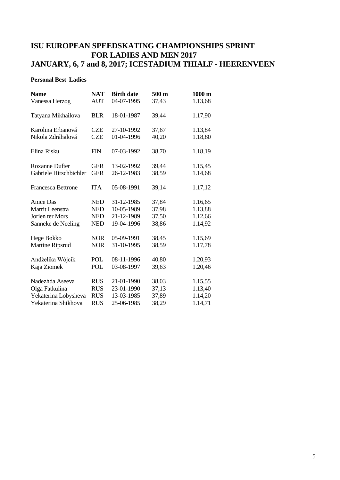#### **Personal Best Ladies**

| <b>Name</b>               | <b>NAT</b> | <b>Birth date</b> | 500 m | $1000 \text{ m}$ |
|---------------------------|------------|-------------------|-------|------------------|
| Vanessa Herzog            | <b>AUT</b> | 04-07-1995        | 37,43 | 1.13,68          |
| Tatyana Mikhailova        | <b>BLR</b> | 18-01-1987        | 39,44 | 1.17,90          |
| Karolina Erbanová         | <b>CZE</b> | 27-10-1992        | 37,67 | 1.13,84          |
| Nikola Zdráhalová         | <b>CZE</b> | 01-04-1996        | 40,20 | 1.18,80          |
| Elina Risku               | <b>FIN</b> | 07-03-1992        | 38,70 | 1.18,19          |
| <b>Roxanne Dufter</b>     | <b>GER</b> | 13-02-1992        | 39,44 | 1.15,45          |
| Gabriele Hirschbichler    | <b>GER</b> | 26-12-1983        | 38,59 | 1.14,68          |
| <b>Francesca Bettrone</b> | <b>ITA</b> | 05-08-1991        | 39,14 | 1.17,12          |
| Anice Das                 | <b>NED</b> | 31-12-1985        | 37,84 | 1.16,65          |
| Marrit Leenstra           | <b>NED</b> | 10-05-1989        | 37,98 | 1.13,88          |
| Jorien ter Mors           | <b>NED</b> | 21-12-1989        | 37,50 | 1.12,66          |
| Sanneke de Neeling        | <b>NED</b> | 19-04-1996        | 38,86 | 1.14,92          |
| Hege Bøkko                | <b>NOR</b> | 05-09-1991        | 38,45 | 1.15,69          |
| Martine Ripsrud           | <b>NOR</b> | 31-10-1995        | 38,59 | 1.17,78          |
| Andżelika Wójcik          | POL        | 08-11-1996        | 40,80 | 1.20,93          |
| Kaja Ziomek               | POL        | 03-08-1997        | 39,63 | 1.20,46          |
| Nadezhda Aseeva           | <b>RUS</b> | 21-01-1990        | 38,03 | 1.15,55          |
| Olga Fatkulina            | <b>RUS</b> | 23-01-1990        | 37,13 | 1.13,40          |
| Yekaterina Lobysheva      | <b>RUS</b> | 13-03-1985        | 37,89 | 1.14,20          |
| Yekaterina Shikhova       | <b>RUS</b> | 25-06-1985        | 38,29 | 1.14,71          |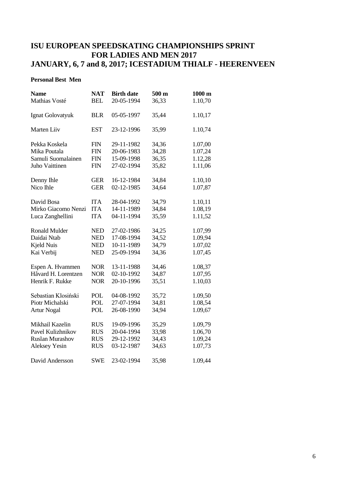#### **Personal Best Men**

| <b>Name</b>            | <b>NAT</b> | <b>Birth date</b> | 500 m | $1000 \text{ m}$ |
|------------------------|------------|-------------------|-------|------------------|
| Mathias Vosté          | <b>BEL</b> | 20-05-1994        | 36,33 | 1.10,70          |
|                        |            |                   |       |                  |
| Ignat Golovatyuk       | <b>BLR</b> | 05-05-1997        | 35,44 | 1.10,17          |
|                        |            |                   |       |                  |
| Marten Liiv            | <b>EST</b> | 23-12-1996        | 35,99 | 1.10,74          |
|                        |            |                   |       |                  |
| Pekka Koskela          | <b>FIN</b> | 29-11-1982        | 34,36 | 1.07,00          |
| Mika Poutala           | <b>FIN</b> | 20-06-1983        | 34,28 | 1.07,24          |
| Samuli Suomalainen     | <b>FIN</b> | 15-09-1998        | 36,35 | 1.12,28          |
| Juho Vaittinen         | <b>FIN</b> | 27-02-1994        | 35,82 | 1.11,06          |
|                        |            |                   |       |                  |
| Denny Ihle             | <b>GER</b> | 16-12-1984        | 34,84 | 1.10,10          |
| Nico Ihle              | <b>GER</b> | 02-12-1985        | 34,64 | 1.07,87          |
|                        | <b>ITA</b> |                   |       |                  |
| David Bosa             |            | 28-04-1992        | 34,79 | 1.10,11          |
| Mirko Giacomo Nenzi    | <b>ITA</b> | 14-11-1989        | 34,84 | 1.08,19          |
| Luca Zanghellini       | <b>ITA</b> | 04-11-1994        | 35,59 | 1.11,52          |
| <b>Ronald Mulder</b>   | <b>NED</b> | 27-02-1986        | 34,25 | 1.07,99          |
| Daidai Ntab            | <b>NED</b> | 17-08-1994        | 34,52 | 1.09,94          |
| <b>Kjeld Nuis</b>      | <b>NED</b> | 10-11-1989        | 34,79 | 1.07,02          |
| Kai Verbij             | <b>NED</b> | 25-09-1994        | 34,36 | 1.07,45          |
|                        |            |                   |       |                  |
| Espen A. Hvammen       | <b>NOR</b> | 13-11-1988        | 34,46 | 1.08,37          |
| Håvard H. Lorentzen    | <b>NOR</b> | 02-10-1992        | 34,87 | 1.07,95          |
| Henrik F. Rukke        | <b>NOR</b> | 20-10-1996        | 35,51 | 1.10,03          |
|                        |            |                   |       |                  |
| Sebastian Klosiński    | POL        | 04-08-1992        | 35,72 | 1.09,50          |
| Piotr Michalski        | <b>POL</b> | 27-07-1994        | 34,81 | 1.08,54          |
| <b>Artur Nogal</b>     | <b>POL</b> | 26-08-1990        | 34,94 | 1.09,67          |
| Mikhail Kazelin        | <b>RUS</b> | 19-09-1996        | 35,29 | 1.09,79          |
| Pavel Kulizhnikov      | <b>RUS</b> | 20-04-1994        | 33,98 | 1.06,70          |
| <b>Ruslan Murashov</b> | <b>RUS</b> | 29-12-1992        | 34,43 | 1.09,24          |
| <b>Aleksey Yesin</b>   | <b>RUS</b> | 03-12-1987        | 34,63 | 1.07,73          |
|                        |            |                   |       |                  |
| David Andersson        | <b>SWE</b> | 23-02-1994        | 35,98 | 1.09,44          |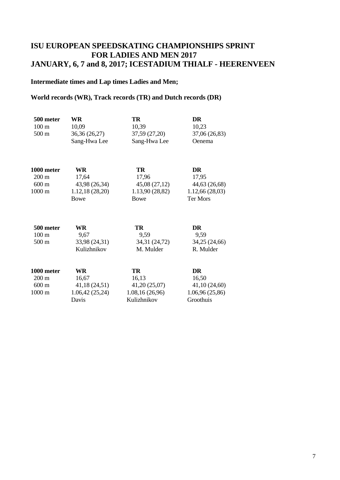### **Intermediate times and Lap times Ladies and Men;**

### **World records (WR), Track records (TR) and Dutch records (DR)**

| 500 meter<br>$100 \text{ m}$<br>$500 \text{ m}$                      | WR<br>10,09<br>36,36 (26,27)<br>Sang-Hwa Lee                  | TR<br>10,39<br>37,59 (27,20)<br>Sang-Hwa Lee                   | DR<br>10,23<br>37,06 (26,83)<br>Oenema                     |
|----------------------------------------------------------------------|---------------------------------------------------------------|----------------------------------------------------------------|------------------------------------------------------------|
| 1000 meter<br>$200 \text{ m}$<br>$600 \text{ m}$<br>$1000 \text{ m}$ | WR<br>17,64<br>43,98 (26,34)<br>1.12,18(28,20)<br><b>Bowe</b> | TR<br>17,96<br>45,08 (27,12)<br>1.13,90 (28,82)<br>Bowe        | DR<br>17,95<br>44,63 (26,68)<br>1.12,66(28,03)<br>Ter Mors |
| 500 meter<br>$100 \text{ m}$<br>$500 \text{ m}$                      | WR<br>9,67<br>33,98 (24,31)<br>Kulizhnikov                    | TR<br>9,59<br>34,31 (24,72)<br>M. Mulder                       | DR<br>9,59<br>34,25 (24,66)<br>R. Mulder                   |
| 1000 meter<br>$200 \text{ m}$<br>$600 \text{ m}$<br>$1000 \text{ m}$ | WR<br>16,67<br>41,18 (24,51)<br>1.06,42(25,24)<br>Davis       | TR<br>16,13<br>41,20(25,07)<br>1.08, 16(26, 96)<br>Kulizhnikov | DR<br>16,50<br>41,10(24,60)<br>1.06,96(25,86)<br>Groothuis |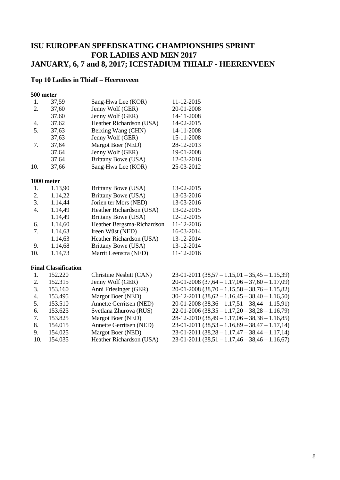### **Top 10 Ladies in Thialf – Heerenveen**

#### **500 meter**

| 1.  | 37,59      | Sang-Hwa Lee (KOR)         | 11-12-2015 |
|-----|------------|----------------------------|------------|
| 2.  | 37,60      | Jenny Wolf (GER)           | 20-01-2008 |
|     | 37,60      | Jenny Wolf (GER)           | 14-11-2008 |
| 4.  | 37,62      | Heather Richardson (USA)   | 14-02-2015 |
| 5.  | 37,63      | Beixing Wang (CHN)         | 14-11-2008 |
|     | 37,63      | Jenny Wolf (GER)           | 15-11-2008 |
| 7.  | 37,64      | Margot Boer (NED)          | 28-12-2013 |
|     | 37,64      | Jenny Wolf (GER)           | 19-01-2008 |
|     | 37,64      | Brittany Bowe (USA)        | 12-03-2016 |
| 10. | 37,66      | Sang-Hwa Lee (KOR)         | 25-03-2012 |
|     | 1000 meter |                            |            |
| 1.  | 1.13,90    | Brittany Bowe (USA)        | 13-02-2015 |
| 2.  | 1.14,22    | Brittany Bowe (USA)        | 13-03-2016 |
| 3.  | 1.14,44    | Jorien ter Mors (NED)      | 13-03-2016 |
| 4.  | 1.14,49    | Heather Richardson (USA)   | 13-02-2015 |
|     | 1.14,49    | <b>Brittany Bowe (USA)</b> | 12-12-2015 |
| 6.  | 1.14,60    | Heather Bergsma-Richardson | 11-12-2016 |
| 7.  | 1.14,63    | Ireen Wüst (NED)           | 16-03-2014 |
|     | 1.14,63    | Heather Richardson (USA)   | 13-12-2014 |
| 9.  | 1.14,68    | <b>Brittany Bowe (USA)</b> | 13-12-2014 |
| 10. | 1.14,73    | Marrit Leenstra (NED)      | 11-12-2016 |
|     |            |                            |            |

#### **Final Classification**

| 1.  | 152.220 | Christine Nesbitt (CAN)        | $23-01-2011$ $(38,57-1.15,01-35,45-1.15,39)$ |
|-----|---------|--------------------------------|----------------------------------------------|
| 2.  | 152.315 | Jenny Wolf (GER)               | $20-01-2008(37,64-1.17,06-37,60-1.17,09)$    |
| 3.  | 153.160 | Anni Friesinger (GER)          | $20-01-2008$ $(38,70-1.15,58-38,76-1.15,82)$ |
| 4.  | 153.495 | Margot Boer (NED)              | $30-12-2011$ $(38,62-1.16,45-38,40-1.16,50)$ |
| 5.  | 153.510 | Annette Gerritsen (NED)        | $20-01-2008(38,36-1.17,51-38,44-1.15,91)$    |
| 6.  | 153.625 | Svetlana Zhurova (RUS)         | $22-01-2006(38,35-1.17,20-38,28-1.16,79)$    |
| 7.  | 153.825 | Margot Boer (NED)              | $28-12-2010(38,49-1.17,06-38,38-1.16,85)$    |
| 8.  | 154.015 | <b>Annette Gerritsen (NED)</b> | $23-01-2011$ $(38,53-1.16,89-38,47-1.17,14)$ |
| 9.  | 154.025 | Margot Boer (NED)              | $23-01-2011$ $(38,28-1.17,47-38,44-1.17,14)$ |
| 10. | 154.035 | Heather Richardson (USA)       | $23-01-2011(38,51-1.17,46-38,46-1.16,67)$    |